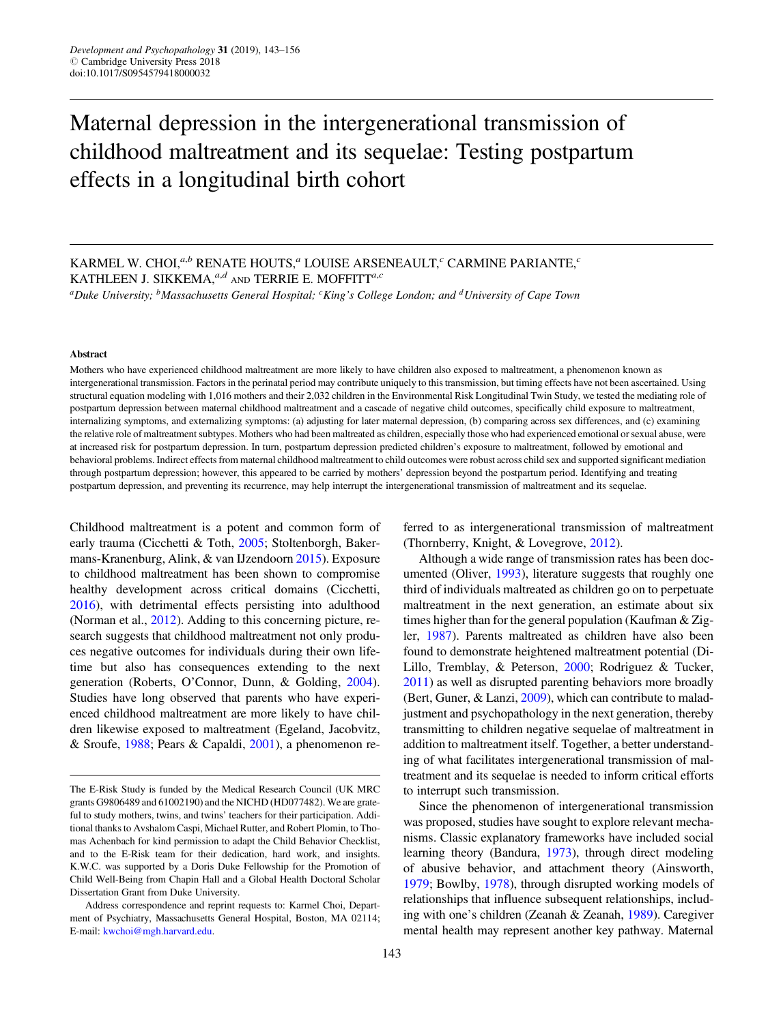# Maternal depression in the intergenerational transmission of childhood maltreatment and its sequelae: Testing postpartum effects in a longitudinal birth cohort

KARMEL W. CHOI,  $a,b$  RENATE HOUTS,  $a$  LOUISE ARSENEAULT,  $c$  CARMINE PARIANTE,  $c$ KATHLEEN J. SIKKEMA, $a,d$  and TERRIE E. MOFFITT $a,c$ 

<sup>a</sup>Duke University; <sup>b</sup>Massachusetts General Hospital; <sup>c</sup>King's College London; and <sup>d</sup>University of Cape Town

#### Abstract

Mothers who have experienced childhood maltreatment are more likely to have children also exposed to maltreatment, a phenomenon known as intergenerational transmission. Factors in the perinatal period may contribute uniquely to this transmission, but timing effects have not been ascertained. Using structural equation modeling with 1,016 mothers and their 2,032 children in the Environmental Risk Longitudinal Twin Study, we tested the mediating role of postpartum depression between maternal childhood maltreatment and a cascade of negative child outcomes, specifically child exposure to maltreatment, internalizing symptoms, and externalizing symptoms: (a) adjusting for later maternal depression, (b) comparing across sex differences, and (c) examining the relative role of maltreatment subtypes. Mothers who had been maltreated as children, especially those who had experienced emotional or sexual abuse, were at increased risk for postpartum depression. In turn, postpartum depression predicted children's exposure to maltreatment, followed by emotional and behavioral problems. Indirect effects from maternal childhood maltreatment to child outcomes were robust across child sex and supported significant mediation through postpartum depression; however, this appeared to be carried by mothers' depression beyond the postpartum period. Identifying and treating postpartum depression, and preventing its recurrence, may help interrupt the intergenerational transmission of maltreatment and its sequelae.

Childhood maltreatment is a potent and common form of early trauma (Cicchetti & Toth, [2005](#page-11-0); Stoltenborgh, Bakermans-Kranenburg, Alink, & van IJzendoorn [2015\)](#page-13-0). Exposure to childhood maltreatment has been shown to compromise healthy development across critical domains (Cicchetti, [2016](#page-11-0)), with detrimental effects persisting into adulthood (Norman et al., [2012\)](#page-12-0). Adding to this concerning picture, research suggests that childhood maltreatment not only produces negative outcomes for individuals during their own lifetime but also has consequences extending to the next generation (Roberts, O'Connor, Dunn, & Golding, [2004](#page-13-0)). Studies have long observed that parents who have experienced childhood maltreatment are more likely to have children likewise exposed to maltreatment (Egeland, Jacobvitz, & Sroufe, [1988](#page-12-0); Pears & Capaldi, [2001\)](#page-12-0), a phenomenon referred to as intergenerational transmission of maltreatment (Thornberry, Knight, & Lovegrove, [2012](#page-13-0)).

Although a wide range of transmission rates has been documented (Oliver, [1993](#page-12-0)), literature suggests that roughly one third of individuals maltreated as children go on to perpetuate maltreatment in the next generation, an estimate about six times higher than for the general population (Kaufman & Zigler, [1987\)](#page-12-0). Parents maltreated as children have also been found to demonstrate heightened maltreatment potential (Di-Lillo, Tremblay, & Peterson, [2000](#page-11-0); Rodriguez & Tucker, [2011\)](#page-13-0) as well as disrupted parenting behaviors more broadly (Bert, Guner, & Lanzi, [2009\)](#page-11-0), which can contribute to maladjustment and psychopathology in the next generation, thereby transmitting to children negative sequelae of maltreatment in addition to maltreatment itself. Together, a better understanding of what facilitates intergenerational transmission of maltreatment and its sequelae is needed to inform critical efforts to interrupt such transmission.

Since the phenomenon of intergenerational transmission was proposed, studies have sought to explore relevant mechanisms. Classic explanatory frameworks have included social learning theory (Bandura, [1973](#page-11-0)), through direct modeling of abusive behavior, and attachment theory (Ainsworth, [1979;](#page-11-0) Bowlby, [1978](#page-11-0)), through disrupted working models of relationships that influence subsequent relationships, including with one's children (Zeanah & Zeanah, [1989](#page-13-0)). Caregiver mental health may represent another key pathway. Maternal

The E-Risk Study is funded by the Medical Research Council (UK MRC grants G9806489 and 61002190) and the NICHD (HD077482). We are grateful to study mothers, twins, and twins' teachers for their participation. Additional thanks to Avshalom Caspi, Michael Rutter, and Robert Plomin, to Thomas Achenbach for kind permission to adapt the Child Behavior Checklist, and to the E-Risk team for their dedication, hard work, and insights. K.W.C. was supported by a Doris Duke Fellowship for the Promotion of Child Well-Being from Chapin Hall and a Global Health Doctoral Scholar Dissertation Grant from Duke University.

Address correspondence and reprint requests to: Karmel Choi, Department of Psychiatry, Massachusetts General Hospital, Boston, MA 02114; E-mail: [kwchoi@mgh.harvard.edu](mailto:kwchoi@mgh.harvard.edu).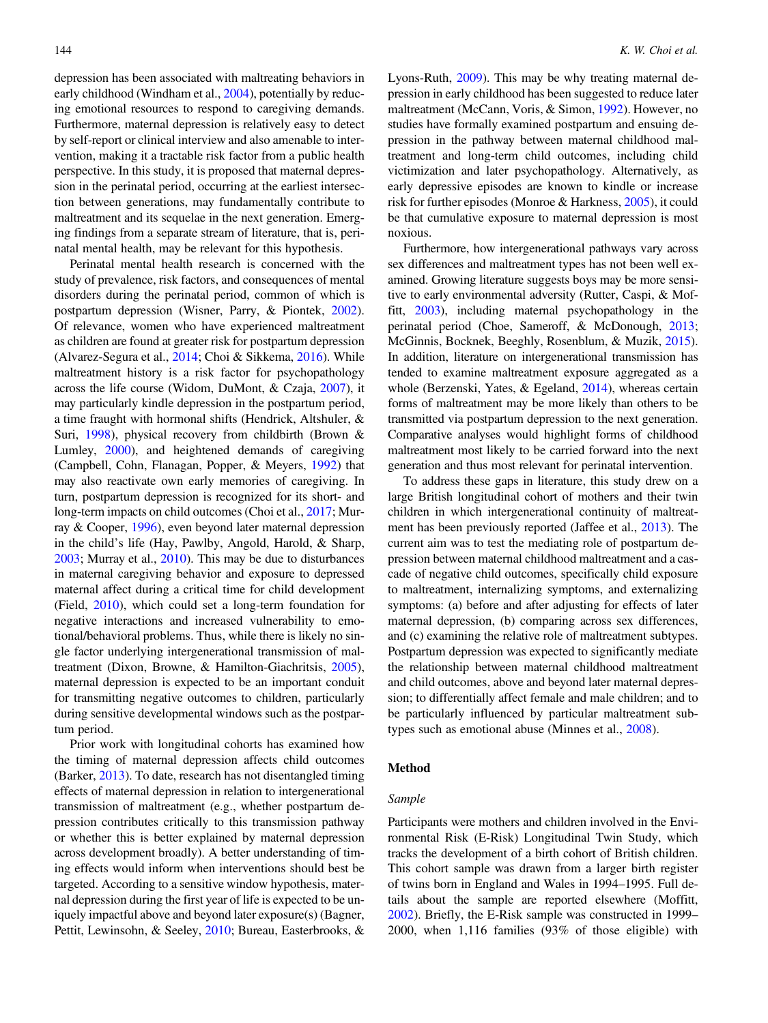depression has been associated with maltreating behaviors in early childhood (Windham et al., [2004\)](#page-13-0), potentially by reducing emotional resources to respond to caregiving demands. Furthermore, maternal depression is relatively easy to detect by self-report or clinical interview and also amenable to intervention, making it a tractable risk factor from a public health perspective. In this study, it is proposed that maternal depression in the perinatal period, occurring at the earliest intersection between generations, may fundamentally contribute to maltreatment and its sequelae in the next generation. Emerging findings from a separate stream of literature, that is, perinatal mental health, may be relevant for this hypothesis.

Perinatal mental health research is concerned with the study of prevalence, risk factors, and consequences of mental disorders during the perinatal period, common of which is postpartum depression (Wisner, Parry, & Piontek, [2002](#page-13-0)). Of relevance, women who have experienced maltreatment as children are found at greater risk for postpartum depression (Alvarez-Segura et al., [2014](#page-11-0); Choi & Sikkema, [2016\)](#page-11-0). While maltreatment history is a risk factor for psychopathology across the life course (Widom, DuMont, & Czaja, [2007\)](#page-13-0), it may particularly kindle depression in the postpartum period, a time fraught with hormonal shifts (Hendrick, Altshuler, & Suri, [1998\)](#page-12-0), physical recovery from childbirth (Brown & Lumley, [2000](#page-11-0)), and heightened demands of caregiving (Campbell, Cohn, Flanagan, Popper, & Meyers, [1992\)](#page-11-0) that may also reactivate own early memories of caregiving. In turn, postpartum depression is recognized for its short- and long-term impacts on child outcomes (Choi et al., [2017;](#page-11-0) Murray & Cooper, [1996\)](#page-12-0), even beyond later maternal depression in the child's life (Hay, Pawlby, Angold, Harold, & Sharp, [2003](#page-12-0); Murray et al., [2010](#page-12-0)). This may be due to disturbances in maternal caregiving behavior and exposure to depressed maternal affect during a critical time for child development (Field, [2010](#page-12-0)), which could set a long-term foundation for negative interactions and increased vulnerability to emotional/behavioral problems. Thus, while there is likely no single factor underlying intergenerational transmission of maltreatment (Dixon, Browne, & Hamilton-Giachritsis, [2005](#page-12-0)), maternal depression is expected to be an important conduit for transmitting negative outcomes to children, particularly during sensitive developmental windows such as the postpartum period.

Prior work with longitudinal cohorts has examined how the timing of maternal depression affects child outcomes (Barker, [2013\)](#page-11-0). To date, research has not disentangled timing effects of maternal depression in relation to intergenerational transmission of maltreatment (e.g., whether postpartum depression contributes critically to this transmission pathway or whether this is better explained by maternal depression across development broadly). A better understanding of timing effects would inform when interventions should best be targeted. According to a sensitive window hypothesis, maternal depression during the first year of life is expected to be uniquely impactful above and beyond later exposure(s) (Bagner, Pettit, Lewinsohn, & Seeley, [2010;](#page-11-0) Bureau, Easterbrooks, & Lyons-Ruth, [2009](#page-11-0)). This may be why treating maternal depression in early childhood has been suggested to reduce later maltreatment (McCann, Voris, & Simon, [1992](#page-12-0)). However, no studies have formally examined postpartum and ensuing depression in the pathway between maternal childhood maltreatment and long-term child outcomes, including child victimization and later psychopathology. Alternatively, as early depressive episodes are known to kindle or increase risk for further episodes (Monroe & Harkness, [2005\)](#page-12-0), it could be that cumulative exposure to maternal depression is most noxious.

Furthermore, how intergenerational pathways vary across sex differences and maltreatment types has not been well examined. Growing literature suggests boys may be more sensitive to early environmental adversity (Rutter, Caspi, & Moffitt, [2003\)](#page-13-0), including maternal psychopathology in the perinatal period (Choe, Sameroff, & McDonough, [2013](#page-11-0); McGinnis, Bocknek, Beeghly, Rosenblum, & Muzik, [2015](#page-12-0)). In addition, literature on intergenerational transmission has tended to examine maltreatment exposure aggregated as a whole (Berzenski, Yates, & Egeland, [2014](#page-11-0)), whereas certain forms of maltreatment may be more likely than others to be transmitted via postpartum depression to the next generation. Comparative analyses would highlight forms of childhood maltreatment most likely to be carried forward into the next generation and thus most relevant for perinatal intervention.

To address these gaps in literature, this study drew on a large British longitudinal cohort of mothers and their twin children in which intergenerational continuity of maltreatment has been previously reported (Jaffee et al., [2013\)](#page-12-0). The current aim was to test the mediating role of postpartum depression between maternal childhood maltreatment and a cascade of negative child outcomes, specifically child exposure to maltreatment, internalizing symptoms, and externalizing symptoms: (a) before and after adjusting for effects of later maternal depression, (b) comparing across sex differences, and (c) examining the relative role of maltreatment subtypes. Postpartum depression was expected to significantly mediate the relationship between maternal childhood maltreatment and child outcomes, above and beyond later maternal depression; to differentially affect female and male children; and to be particularly influenced by particular maltreatment subtypes such as emotional abuse (Minnes et al., [2008](#page-12-0)).

# Method

# Sample

Participants were mothers and children involved in the Environmental Risk (E-Risk) Longitudinal Twin Study, which tracks the development of a birth cohort of British children. This cohort sample was drawn from a larger birth register of twins born in England and Wales in 1994–1995. Full details about the sample are reported elsewhere (Moffitt, [2002](#page-12-0)). Briefly, the E-Risk sample was constructed in 1999– 2000, when 1,116 families (93% of those eligible) with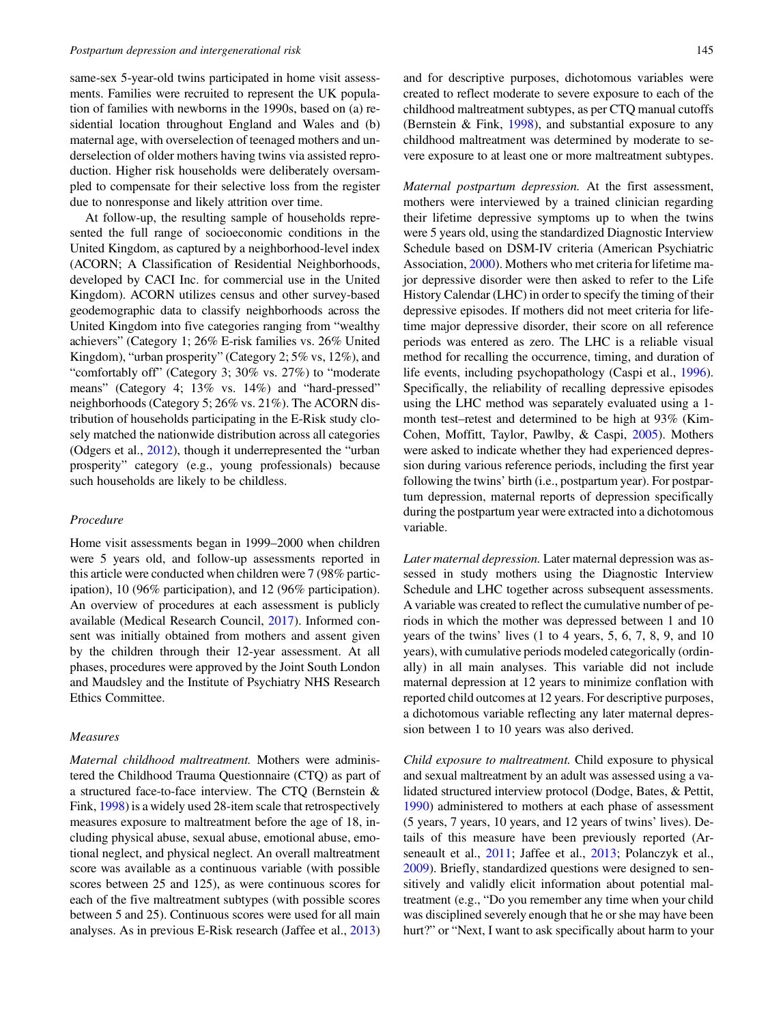same-sex 5-year-old twins participated in home visit assessments. Families were recruited to represent the UK population of families with newborns in the 1990s, based on (a) residential location throughout England and Wales and (b) maternal age, with overselection of teenaged mothers and underselection of older mothers having twins via assisted reproduction. Higher risk households were deliberately oversampled to compensate for their selective loss from the register due to nonresponse and likely attrition over time.

At follow-up, the resulting sample of households represented the full range of socioeconomic conditions in the United Kingdom, as captured by a neighborhood-level index (ACORN; A Classification of Residential Neighborhoods, developed by CACI Inc. for commercial use in the United Kingdom). ACORN utilizes census and other survey-based geodemographic data to classify neighborhoods across the United Kingdom into five categories ranging from "wealthy achievers" (Category 1; 26% E-risk families vs. 26% United Kingdom), "urban prosperity" (Category 2; 5% vs, 12%), and "comfortably off" (Category 3; 30% vs. 27%) to "moderate means" (Category 4; 13% vs. 14%) and "hard-pressed" neighborhoods (Category 5; 26% vs. 21%). The ACORN distribution of households participating in the E-Risk study closely matched the nationwide distribution across all categories (Odgers et al., [2012\)](#page-12-0), though it underrepresented the "urban prosperity" category (e.g., young professionals) because such households are likely to be childless.

#### Procedure

Home visit assessments began in 1999–2000 when children were 5 years old, and follow-up assessments reported in this article were conducted when children were 7 (98% participation), 10 (96% participation), and 12 (96% participation). An overview of procedures at each assessment is publicly available (Medical Research Council, [2017](#page-12-0)). Informed consent was initially obtained from mothers and assent given by the children through their 12-year assessment. At all phases, procedures were approved by the Joint South London and Maudsley and the Institute of Psychiatry NHS Research Ethics Committee.

# Measures

Maternal childhood maltreatment. Mothers were administered the Childhood Trauma Questionnaire (CTQ) as part of a structured face-to-face interview. The CTQ (Bernstein & Fink, [1998\)](#page-11-0) is a widely used 28-item scale that retrospectively measures exposure to maltreatment before the age of 18, including physical abuse, sexual abuse, emotional abuse, emotional neglect, and physical neglect. An overall maltreatment score was available as a continuous variable (with possible scores between 25 and 125), as were continuous scores for each of the five maltreatment subtypes (with possible scores between 5 and 25). Continuous scores were used for all main analyses. As in previous E-Risk research (Jaffee et al., [2013\)](#page-12-0)

and for descriptive purposes, dichotomous variables were created to reflect moderate to severe exposure to each of the childhood maltreatment subtypes, as per CTQ manual cutoffs (Bernstein & Fink, [1998](#page-11-0)), and substantial exposure to any childhood maltreatment was determined by moderate to severe exposure to at least one or more maltreatment subtypes.

Maternal postpartum depression. At the first assessment, mothers were interviewed by a trained clinician regarding their lifetime depressive symptoms up to when the twins were 5 years old, using the standardized Diagnostic Interview Schedule based on DSM-IV criteria (American Psychiatric Association, [2000](#page-11-0)). Mothers who met criteria for lifetime major depressive disorder were then asked to refer to the Life History Calendar (LHC) in order to specify the timing of their depressive episodes. If mothers did not meet criteria for lifetime major depressive disorder, their score on all reference periods was entered as zero. The LHC is a reliable visual method for recalling the occurrence, timing, and duration of life events, including psychopathology (Caspi et al., [1996](#page-11-0)). Specifically, the reliability of recalling depressive episodes using the LHC method was separately evaluated using a 1 month test–retest and determined to be high at 93% (Kim-Cohen, Moffitt, Taylor, Pawlby, & Caspi, [2005](#page-12-0)). Mothers were asked to indicate whether they had experienced depression during various reference periods, including the first year following the twins' birth (i.e., postpartum year). For postpartum depression, maternal reports of depression specifically during the postpartum year were extracted into a dichotomous variable.

Later maternal depression. Later maternal depression was assessed in study mothers using the Diagnostic Interview Schedule and LHC together across subsequent assessments. A variable was created to reflect the cumulative number of periods in which the mother was depressed between 1 and 10 years of the twins' lives (1 to 4 years, 5, 6, 7, 8, 9, and 10 years), with cumulative periods modeled categorically (ordinally) in all main analyses. This variable did not include maternal depression at 12 years to minimize conflation with reported child outcomes at 12 years. For descriptive purposes, a dichotomous variable reflecting any later maternal depression between 1 to 10 years was also derived.

Child exposure to maltreatment. Child exposure to physical and sexual maltreatment by an adult was assessed using a validated structured interview protocol (Dodge, Bates, & Pettit, [1990\)](#page-12-0) administered to mothers at each phase of assessment (5 years, 7 years, 10 years, and 12 years of twins' lives). Details of this measure have been previously reported (Arseneault et al., [2011;](#page-11-0) Jaffee et al., [2013](#page-12-0); Polanczyk et al., [2009\)](#page-13-0). Briefly, standardized questions were designed to sensitively and validly elicit information about potential maltreatment (e.g., "Do you remember any time when your child was disciplined severely enough that he or she may have been hurt?" or "Next, I want to ask specifically about harm to your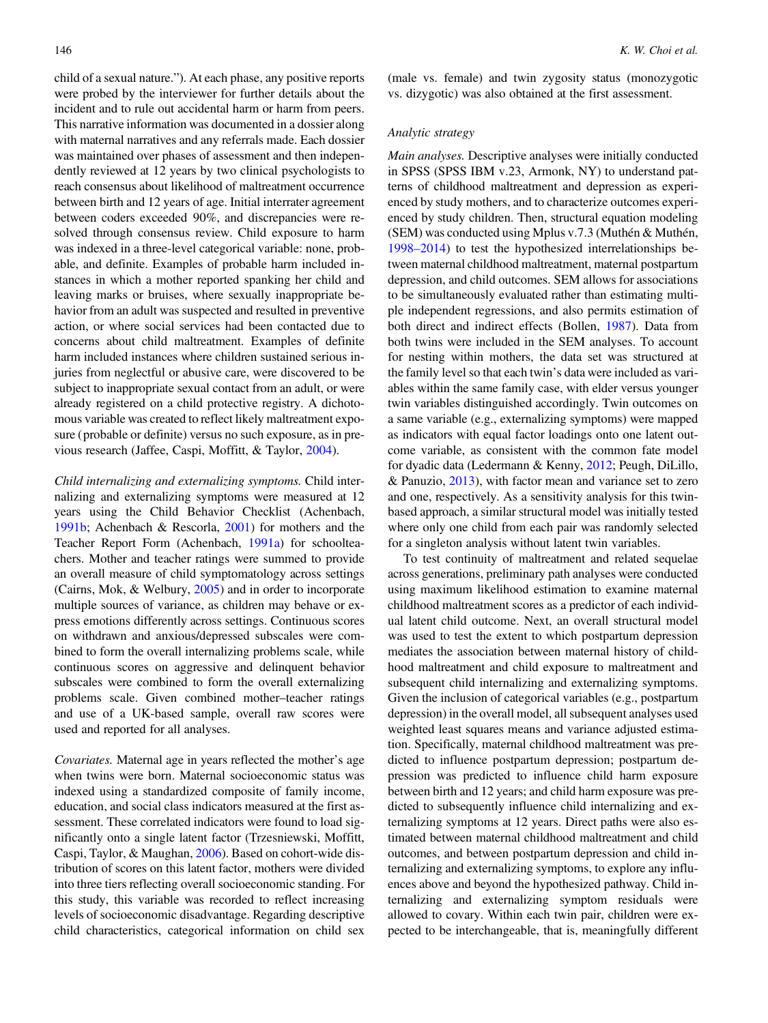child of a sexual nature."). At each phase, any positive reports were probed by the interviewer for further details about the incident and to rule out accidental harm or harm from peers. This narrative information was documented in a dossier along with maternal narratives and any referrals made. Each dossier was maintained over phases of assessment and then independently reviewed at 12 years by two clinical psychologists to reach consensus about likelihood of maltreatment occurrence between birth and 12 years of age. Initial interrater agreement between coders exceeded 90%, and discrepancies were resolved through consensus review. Child exposure to harm was indexed in a three-level categorical variable: none, probable, and definite. Examples of probable harm included instances in which a mother reported spanking her child and leaving marks or bruises, where sexually inappropriate behavior from an adult was suspected and resulted in preventive action, or where social services had been contacted due to concerns about child maltreatment. Examples of definite harm included instances where children sustained serious injuries from neglectful or abusive care, were discovered to be subject to inappropriate sexual contact from an adult, or were already registered on a child protective registry. A dichotomous variable was created to reflect likely maltreatment exposure (probable or definite) versus no such exposure, as in previous research (Jaffee, Caspi, Moffitt, & Taylor, [2004\)](#page-12-0).

Child internalizing and externalizing symptoms. Child internalizing and externalizing symptoms were measured at 12 years using the Child Behavior Checklist (Achenbach, [1991b](#page-11-0); Achenbach & Rescorla, [2001\)](#page-11-0) for mothers and the Teacher Report Form (Achenbach, [1991a](#page-11-0)) for schoolteachers. Mother and teacher ratings were summed to provide an overall measure of child symptomatology across settings (Cairns, Mok, & Welbury, [2005](#page-11-0)) and in order to incorporate multiple sources of variance, as children may behave or express emotions differently across settings. Continuous scores on withdrawn and anxious/depressed subscales were combined to form the overall internalizing problems scale, while continuous scores on aggressive and delinquent behavior subscales were combined to form the overall externalizing problems scale. Given combined mother–teacher ratings and use of a UK-based sample, overall raw scores were used and reported for all analyses.

Covariates. Maternal age in years reflected the mother's age when twins were born. Maternal socioeconomic status was indexed using a standardized composite of family income, education, and social class indicators measured at the first assessment. These correlated indicators were found to load significantly onto a single latent factor (Trzesniewski, Moffitt, Caspi, Taylor, & Maughan, [2006](#page-13-0)). Based on cohort-wide distribution of scores on this latent factor, mothers were divided into three tiers reflecting overall socioeconomic standing. For this study, this variable was recorded to reflect increasing levels of socioeconomic disadvantage. Regarding descriptive child characteristics, categorical information on child sex

(male vs. female) and twin zygosity status (monozygotic vs. dizygotic) was also obtained at the first assessment.

# Analytic strategy

Main analyses. Descriptive analyses were initially conducted in SPSS (SPSS IBM v.23, Armonk, NY) to understand patterns of childhood maltreatment and depression as experienced by study mothers, and to characterize outcomes experienced by study children. Then, structural equation modeling (SEM) was conducted using Mplus v.7.3 (Muthén & Muthén, [1998–2014](#page-12-0)) to test the hypothesized interrelationships between maternal childhood maltreatment, maternal postpartum depression, and child outcomes. SEM allows for associations to be simultaneously evaluated rather than estimating multiple independent regressions, and also permits estimation of both direct and indirect effects (Bollen, [1987](#page-11-0)). Data from both twins were included in the SEM analyses. To account for nesting within mothers, the data set was structured at the family level so that each twin's data were included as variables within the same family case, with elder versus younger twin variables distinguished accordingly. Twin outcomes on a same variable (e.g., externalizing symptoms) were mapped as indicators with equal factor loadings onto one latent outcome variable, as consistent with the common fate model for dyadic data (Ledermann & Kenny, [2012;](#page-12-0) Peugh, DiLillo, & Panuzio, [2013](#page-12-0)), with factor mean and variance set to zero and one, respectively. As a sensitivity analysis for this twinbased approach, a similar structural model was initially tested where only one child from each pair was randomly selected for a singleton analysis without latent twin variables.

To test continuity of maltreatment and related sequelae across generations, preliminary path analyses were conducted using maximum likelihood estimation to examine maternal childhood maltreatment scores as a predictor of each individual latent child outcome. Next, an overall structural model was used to test the extent to which postpartum depression mediates the association between maternal history of childhood maltreatment and child exposure to maltreatment and subsequent child internalizing and externalizing symptoms. Given the inclusion of categorical variables (e.g., postpartum depression) in the overall model, all subsequent analyses used weighted least squares means and variance adjusted estimation. Specifically, maternal childhood maltreatment was predicted to influence postpartum depression; postpartum depression was predicted to influence child harm exposure between birth and 12 years; and child harm exposure was predicted to subsequently influence child internalizing and externalizing symptoms at 12 years. Direct paths were also estimated between maternal childhood maltreatment and child outcomes, and between postpartum depression and child internalizing and externalizing symptoms, to explore any influences above and beyond the hypothesized pathway. Child internalizing and externalizing symptom residuals were allowed to covary. Within each twin pair, children were expected to be interchangeable, that is, meaningfully different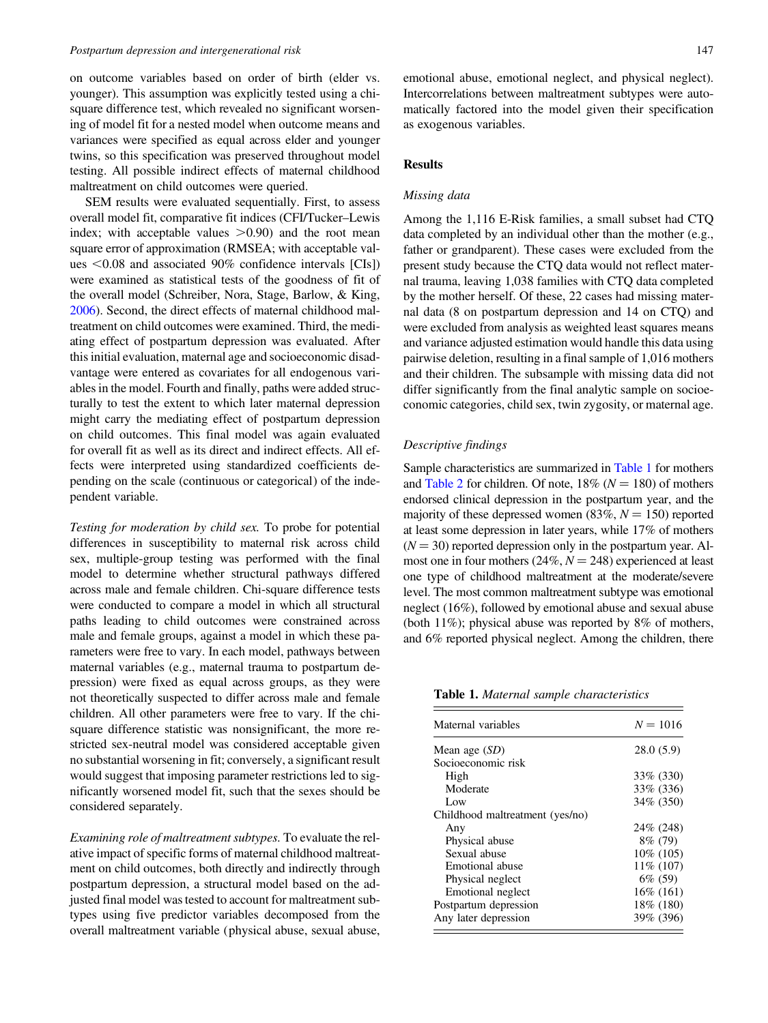#### Postpartum depression and intergenerational risk 147

on outcome variables based on order of birth (elder vs. younger). This assumption was explicitly tested using a chisquare difference test, which revealed no significant worsening of model fit for a nested model when outcome means and variances were specified as equal across elder and younger twins, so this specification was preserved throughout model testing. All possible indirect effects of maternal childhood maltreatment on child outcomes were queried.

SEM results were evaluated sequentially. First, to assess overall model fit, comparative fit indices (CFI/Tucker–Lewis index; with acceptable values  $>0.90$  and the root mean square error of approximation (RMSEA; with acceptable values  $< 0.08$  and associated 90% confidence intervals [CIs]) were examined as statistical tests of the goodness of fit of the overall model (Schreiber, Nora, Stage, Barlow, & King, [2006](#page-13-0)). Second, the direct effects of maternal childhood maltreatment on child outcomes were examined. Third, the mediating effect of postpartum depression was evaluated. After this initial evaluation, maternal age and socioeconomic disadvantage were entered as covariates for all endogenous variables in the model. Fourth and finally, paths were added structurally to test the extent to which later maternal depression might carry the mediating effect of postpartum depression on child outcomes. This final model was again evaluated for overall fit as well as its direct and indirect effects. All effects were interpreted using standardized coefficients depending on the scale (continuous or categorical) of the independent variable.

Testing for moderation by child sex. To probe for potential differences in susceptibility to maternal risk across child sex, multiple-group testing was performed with the final model to determine whether structural pathways differed across male and female children. Chi-square difference tests were conducted to compare a model in which all structural paths leading to child outcomes were constrained across male and female groups, against a model in which these parameters were free to vary. In each model, pathways between maternal variables (e.g., maternal trauma to postpartum depression) were fixed as equal across groups, as they were not theoretically suspected to differ across male and female children. All other parameters were free to vary. If the chisquare difference statistic was nonsignificant, the more restricted sex-neutral model was considered acceptable given no substantial worsening in fit; conversely, a significant result would suggest that imposing parameter restrictions led to significantly worsened model fit, such that the sexes should be considered separately.

Examining role of maltreatment subtypes. To evaluate the relative impact of specific forms of maternal childhood maltreatment on child outcomes, both directly and indirectly through postpartum depression, a structural model based on the adjusted final model was tested to account for maltreatment subtypes using five predictor variables decomposed from the overall maltreatment variable (physical abuse, sexual abuse, emotional abuse, emotional neglect, and physical neglect). Intercorrelations between maltreatment subtypes were automatically factored into the model given their specification as exogenous variables.

# Results

## Missing data

Among the 1,116 E-Risk families, a small subset had CTQ data completed by an individual other than the mother (e.g., father or grandparent). These cases were excluded from the present study because the CTQ data would not reflect maternal trauma, leaving 1,038 families with CTQ data completed by the mother herself. Of these, 22 cases had missing maternal data (8 on postpartum depression and 14 on CTQ) and were excluded from analysis as weighted least squares means and variance adjusted estimation would handle this data using pairwise deletion, resulting in a final sample of 1,016 mothers and their children. The subsample with missing data did not differ significantly from the final analytic sample on socioeconomic categories, child sex, twin zygosity, or maternal age.

## Descriptive findings

Sample characteristics are summarized in Table 1 for mothers and [Table 2](#page-5-0) for children. Of note,  $18\%$  ( $N = 180$ ) of mothers endorsed clinical depression in the postpartum year, and the majority of these depressed women  $(83\%, N = 150)$  reported at least some depression in later years, while 17% of mothers  $(N = 30)$  reported depression only in the postpartum year. Almost one in four mothers (24%,  $N = 248$ ) experienced at least one type of childhood maltreatment at the moderate/severe level. The most common maltreatment subtype was emotional neglect (16%), followed by emotional abuse and sexual abuse (both 11%); physical abuse was reported by 8% of mothers, and 6% reported physical neglect. Among the children, there

Table 1. Maternal sample characteristics

| Maternal variables              | $N = 1016$   |
|---------------------------------|--------------|
| Mean age $(SD)$                 | 28.0(5.9)    |
| Socioeconomic risk              |              |
| High                            | 33\% (330)   |
| Moderate                        | 33% (336)    |
| Low                             | 34\% (350)   |
| Childhood maltreatment (yes/no) |              |
| Any                             | 24\% (248)   |
| Physical abuse                  | 8\% (79)     |
| Sexual abuse                    | $10\%$ (105) |
| Emotional abuse                 | $11\%$ (107) |
| Physical neglect                | $6\%$ (59)   |
| Emotional neglect               | $16\%$ (161) |
| Postpartum depression           | 18\% (180)   |
| Any later depression            | 39% (396)    |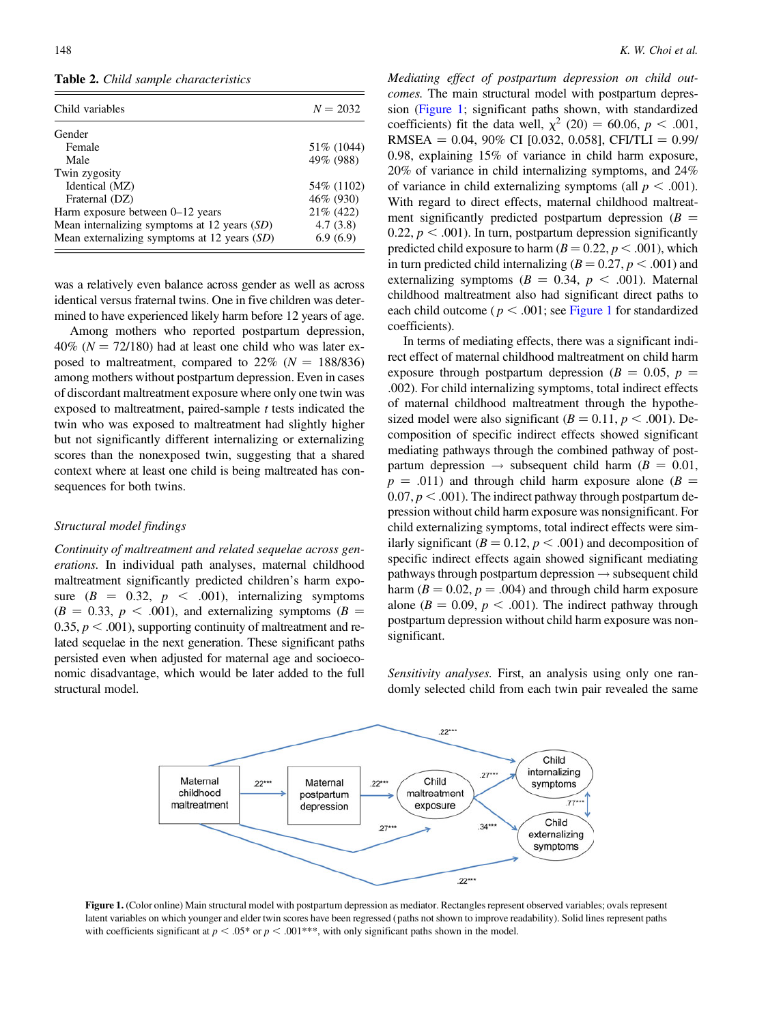<span id="page-5-0"></span>Table 2. Child sample characteristics

| Child variables                              | $N = 2032$  |
|----------------------------------------------|-------------|
| Gender                                       |             |
| Female                                       | 51\% (1044) |
| Male                                         | 49% (988)   |
| Twin zygosity                                |             |
| Identical (MZ)                               | 54\% (1102) |
| Fraternal (DZ)                               | 46% (930)   |
| Harm exposure between 0–12 years             | 21% (422)   |
| Mean internalizing symptoms at 12 years (SD) | 4.7(3.8)    |
| Mean externalizing symptoms at 12 years (SD) | 6.9(6.9)    |

was a relatively even balance across gender as well as across identical versus fraternal twins. One in five children was determined to have experienced likely harm before 12 years of age.

Among mothers who reported postpartum depression,  $40\%$  ( $N = 72/180$ ) had at least one child who was later exposed to maltreatment, compared to  $22\%$  ( $N = 188/836$ ) among mothers without postpartum depression. Even in cases of discordant maltreatment exposure where only one twin was exposed to maltreatment, paired-sample  $t$  tests indicated the twin who was exposed to maltreatment had slightly higher but not significantly different internalizing or externalizing scores than the nonexposed twin, suggesting that a shared context where at least one child is being maltreated has consequences for both twins.

## Structural model findings

Continuity of maltreatment and related sequelae across generations. In individual path analyses, maternal childhood maltreatment significantly predicted children's harm exposure  $(B = 0.32, p < .001)$ , internalizing symptoms  $(B = 0.33, p < .001)$ , and externalizing symptoms  $(B = 0.33, p < .001)$ 0.35,  $p < .001$ ), supporting continuity of maltreatment and related sequelae in the next generation. These significant paths persisted even when adjusted for maternal age and socioeconomic disadvantage, which would be later added to the full structural model.

Mediating effect of postpartum depression on child outcomes. The main structural model with postpartum depression (Figure 1; significant paths shown, with standardized coefficients) fit the data well,  $\chi^2$  (20) = 60.06, p < .001, RMSEA =  $0.04$ , 90% CI [0.032, 0.058], CFI/TLI = 0.99/ 0.98, explaining 15% of variance in child harm exposure, 20% of variance in child internalizing symptoms, and 24% of variance in child externalizing symptoms (all  $p < .001$ ). With regard to direct effects, maternal childhood maltreatment significantly predicted postpartum depression ( $B =$ 0.22,  $p < .001$ ). In turn, postpartum depression significantly predicted child exposure to harm ( $B = 0.22$ ,  $p < .001$ ), which in turn predicted child internalizing ( $B = 0.27$ ,  $p < .001$ ) and externalizing symptoms ( $B = 0.34$ ,  $p < .001$ ). Maternal childhood maltreatment also had significant direct paths to each child outcome ( $p < .001$ ; see Figure 1 for standardized coefficients).

In terms of mediating effects, there was a significant indirect effect of maternal childhood maltreatment on child harm exposure through postpartum depression ( $B = 0.05$ ,  $p =$ .002). For child internalizing symptoms, total indirect effects of maternal childhood maltreatment through the hypothesized model were also significant ( $B = 0.11$ ,  $p < .001$ ). Decomposition of specific indirect effects showed significant mediating pathways through the combined pathway of postpartum depression  $\rightarrow$  subsequent child harm ( $B = 0.01$ ,  $p = .011$ ) and through child harm exposure alone ( $B =$ 0.07,  $p < .001$ ). The indirect pathway through postpartum depression without child harm exposure was nonsignificant. For child externalizing symptoms, total indirect effects were similarly significant ( $B = 0.12$ ,  $p < .001$ ) and decomposition of specific indirect effects again showed significant mediating pathways through postpartum depression  $\rightarrow$  subsequent child harm ( $B = 0.02$ ,  $p = .004$ ) and through child harm exposure alone ( $B = 0.09$ ,  $p < .001$ ). The indirect pathway through postpartum depression without child harm exposure was nonsignificant.

Sensitivity analyses. First, an analysis using only one randomly selected child from each twin pair revealed the same



Figure 1. (Color online) Main structural model with postpartum depression as mediator. Rectangles represent observed variables; ovals represent latent variables on which younger and elder twin scores have been regressed (paths not shown to improve readability). Solid lines represent paths with coefficients significant at  $p < .05*$  or  $p < .001***$ , with only significant paths shown in the model.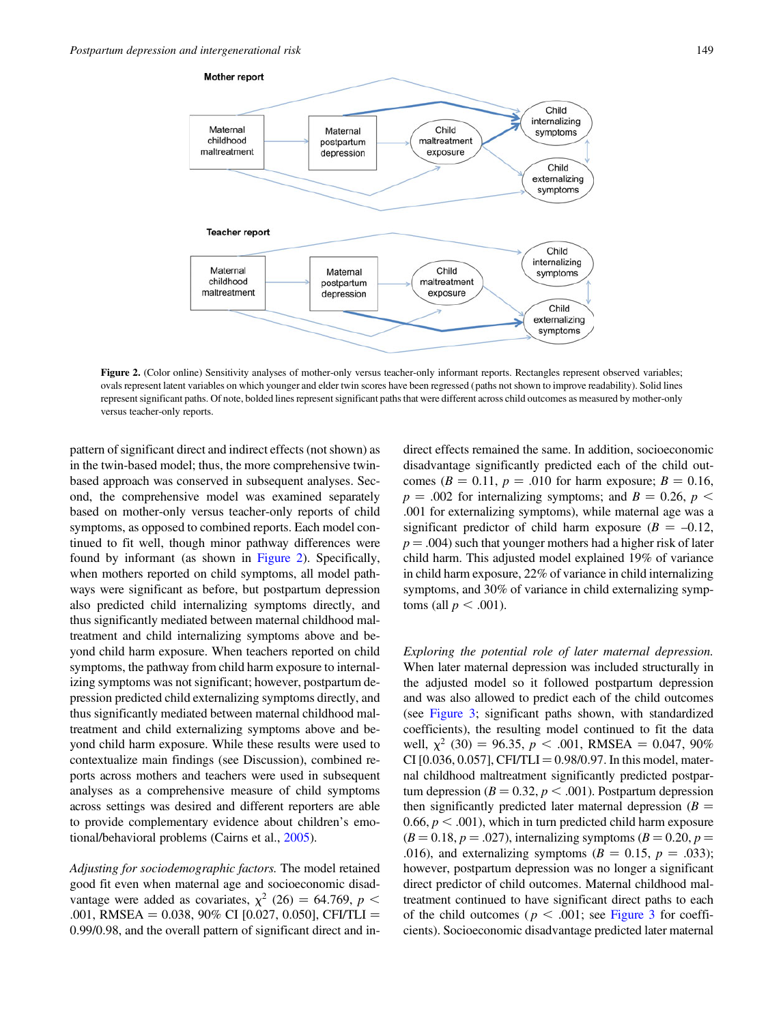

Figure 2. (Color online) Sensitivity analyses of mother-only versus teacher-only informant reports. Rectangles represent observed variables; ovals represent latent variables on which younger and elder twin scores have been regressed (paths not shown to improve readability). Solid lines represent significant paths. Of note, bolded lines represent significant paths that were different across child outcomes as measured by mother-only versus teacher-only reports.

pattern of significant direct and indirect effects (not shown) as in the twin-based model; thus, the more comprehensive twinbased approach was conserved in subsequent analyses. Second, the comprehensive model was examined separately based on mother-only versus teacher-only reports of child symptoms, as opposed to combined reports. Each model continued to fit well, though minor pathway differences were found by informant (as shown in Figure 2). Specifically, when mothers reported on child symptoms, all model pathways were significant as before, but postpartum depression also predicted child internalizing symptoms directly, and thus significantly mediated between maternal childhood maltreatment and child internalizing symptoms above and beyond child harm exposure. When teachers reported on child symptoms, the pathway from child harm exposure to internalizing symptoms was not significant; however, postpartum depression predicted child externalizing symptoms directly, and thus significantly mediated between maternal childhood maltreatment and child externalizing symptoms above and beyond child harm exposure. While these results were used to contextualize main findings (see Discussion), combined reports across mothers and teachers were used in subsequent analyses as a comprehensive measure of child symptoms across settings was desired and different reporters are able to provide complementary evidence about children's emotional/behavioral problems (Cairns et al., [2005\)](#page-11-0).

Adjusting for sociodemographic factors. The model retained good fit even when maternal age and socioeconomic disadvantage were added as covariates,  $\chi^2$  (26) = 64.769, p < .001, RMSEA =  $0.038$ , 90% CI [0.027, 0.050], CFI/TLI = 0.99/0.98, and the overall pattern of significant direct and in-

direct effects remained the same. In addition, socioeconomic disadvantage significantly predicted each of the child outcomes ( $B = 0.11$ ,  $p = .010$  for harm exposure;  $B = 0.16$ ,  $p = .002$  for internalizing symptoms; and  $B = 0.26$ ,  $p <$ .001 for externalizing symptoms), while maternal age was a significant predictor of child harm exposure  $(B = -0.12,$  $p = .004$ ) such that younger mothers had a higher risk of later child harm. This adjusted model explained 19% of variance in child harm exposure, 22% of variance in child internalizing symptoms, and 30% of variance in child externalizing symptoms (all  $p < .001$ ).

Exploring the potential role of later maternal depression. When later maternal depression was included structurally in the adjusted model so it followed postpartum depression and was also allowed to predict each of the child outcomes (see [Figure 3;](#page-7-0) significant paths shown, with standardized coefficients), the resulting model continued to fit the data well,  $\chi^2$  (30) = 96.35, p < .001, RMSEA = 0.047, 90% CI [0.036, 0.057], CFI/TLI = 0.98/0.97. In this model, maternal childhood maltreatment significantly predicted postpartum depression ( $B = 0.32$ ,  $p < .001$ ). Postpartum depression then significantly predicted later maternal depression ( $B =$ 0.66,  $p < .001$ ), which in turn predicted child harm exposure  $(B = 0.18, p = .027)$ , internalizing symptoms  $(B = 0.20, p = .027)$ .016), and externalizing symptoms ( $B = 0.15$ ,  $p = .033$ ); however, postpartum depression was no longer a significant direct predictor of child outcomes. Maternal childhood maltreatment continued to have significant direct paths to each of the child outcomes ( $p < .001$ ; see [Figure 3](#page-7-0) for coefficients). Socioeconomic disadvantage predicted later maternal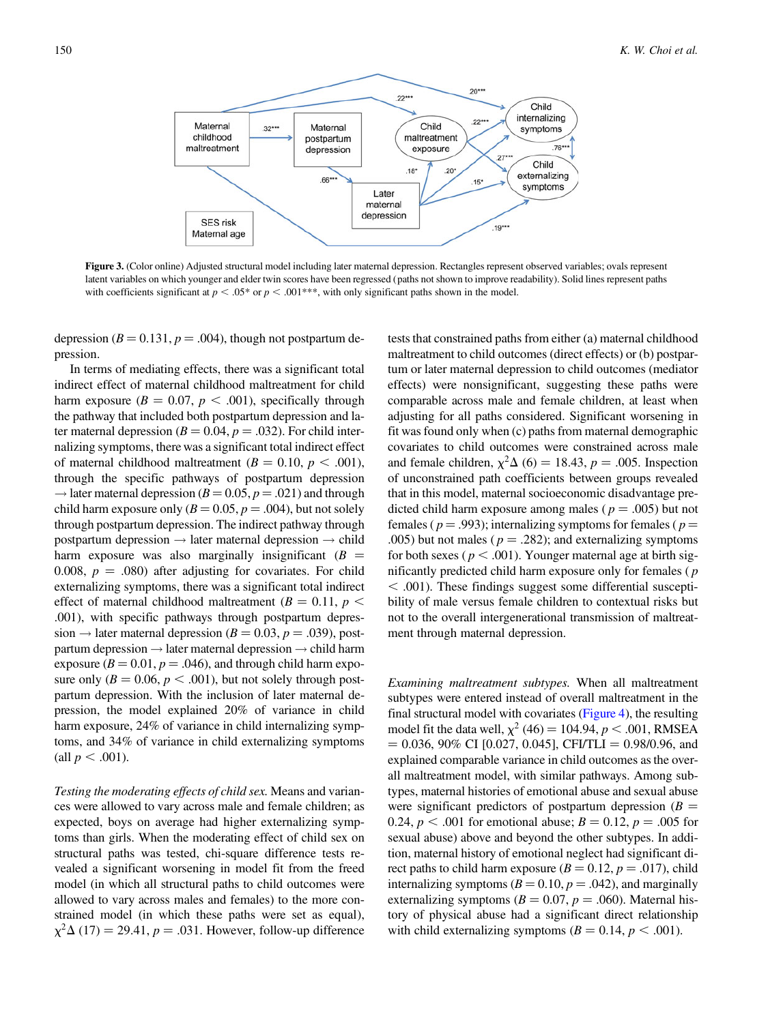<span id="page-7-0"></span>

Figure 3. (Color online) Adjusted structural model including later maternal depression. Rectangles represent observed variables; ovals represent latent variables on which younger and elder twin scores have been regressed (paths not shown to improve readability). Solid lines represent paths with coefficients significant at  $p < .05^*$  or  $p < .001^{***}$ , with only significant paths shown in the model.

depression ( $B = 0.131$ ,  $p = .004$ ), though not postpartum depression.

In terms of mediating effects, there was a significant total indirect effect of maternal childhood maltreatment for child harm exposure ( $B = 0.07$ ,  $p < .001$ ), specifically through the pathway that included both postpartum depression and later maternal depression ( $B = 0.04$ ,  $p = .032$ ). For child internalizing symptoms, there was a significant total indirect effect of maternal childhood maltreatment ( $B = 0.10, p < .001$ ), through the specific pathways of postpartum depression  $\rightarrow$  later maternal depression ( $B = 0.05$ ,  $p = .021$ ) and through child harm exposure only ( $B = 0.05$ ,  $p = .004$ ), but not solely through postpartum depression. The indirect pathway through postpartum depression  $\rightarrow$  later maternal depression  $\rightarrow$  child harm exposure was also marginally insignificant  $(B =$ 0.008,  $p = .080$  after adjusting for covariates. For child externalizing symptoms, there was a significant total indirect effect of maternal childhood maltreatment ( $B = 0.11$ ,  $p <$ .001), with specific pathways through postpartum depression  $\rightarrow$  later maternal depression ( $B = 0.03$ ,  $p = .039$ ), postpartum depression  $\rightarrow$  later maternal depression  $\rightarrow$  child harm exposure ( $B = 0.01$ ,  $p = .046$ ), and through child harm exposure only ( $B = 0.06$ ,  $p < .001$ ), but not solely through postpartum depression. With the inclusion of later maternal depression, the model explained 20% of variance in child harm exposure, 24% of variance in child internalizing symptoms, and 34% of variance in child externalizing symptoms (all  $p < .001$ ).

Testing the moderating effects of child sex. Means and variances were allowed to vary across male and female children; as expected, boys on average had higher externalizing symptoms than girls. When the moderating effect of child sex on structural paths was tested, chi-square difference tests revealed a significant worsening in model fit from the freed model (in which all structural paths to child outcomes were allowed to vary across males and females) to the more constrained model (in which these paths were set as equal),  $\chi^2\Delta$  (17) = 29.41, p = .031. However, follow-up difference

tests that constrained paths from either (a) maternal childhood maltreatment to child outcomes (direct effects) or (b) postpartum or later maternal depression to child outcomes (mediator effects) were nonsignificant, suggesting these paths were comparable across male and female children, at least when adjusting for all paths considered. Significant worsening in fit was found only when (c) paths from maternal demographic covariates to child outcomes were constrained across male and female children,  $\chi^2 \Delta$  (6) = 18.43, p = .005. Inspection of unconstrained path coefficients between groups revealed that in this model, maternal socioeconomic disadvantage predicted child harm exposure among males ( $p = .005$ ) but not females ( $p = .993$ ); internalizing symptoms for females ( $p =$ .005) but not males ( $p = .282$ ); and externalizing symptoms for both sexes ( $p < .001$ ). Younger maternal age at birth significantly predicted child harm exposure only for females ( p  $<$  .001). These findings suggest some differential susceptibility of male versus female children to contextual risks but not to the overall intergenerational transmission of maltreatment through maternal depression.

Examining maltreatment subtypes. When all maltreatment subtypes were entered instead of overall maltreatment in the final structural model with covariates ([Figure 4\)](#page-8-0), the resulting model fit the data well,  $\chi^2$  (46) = 104.94, *p* < .001, RMSEA  $= 0.036, 90\% \text{ CI}$  [0.027, 0.045], CFI/TLI  $= 0.98/0.96$ , and explained comparable variance in child outcomes as the overall maltreatment model, with similar pathways. Among subtypes, maternal histories of emotional abuse and sexual abuse were significant predictors of postpartum depression ( $B =$ 0.24,  $p < .001$  for emotional abuse;  $B = 0.12$ ,  $p = .005$  for sexual abuse) above and beyond the other subtypes. In addition, maternal history of emotional neglect had significant direct paths to child harm exposure  $(B = 0.12, p = .017)$ , child internalizing symptoms ( $B = 0.10$ ,  $p = .042$ ), and marginally externalizing symptoms ( $B = 0.07$ ,  $p = .060$ ). Maternal history of physical abuse had a significant direct relationship with child externalizing symptoms ( $B = 0.14$ ,  $p < .001$ ).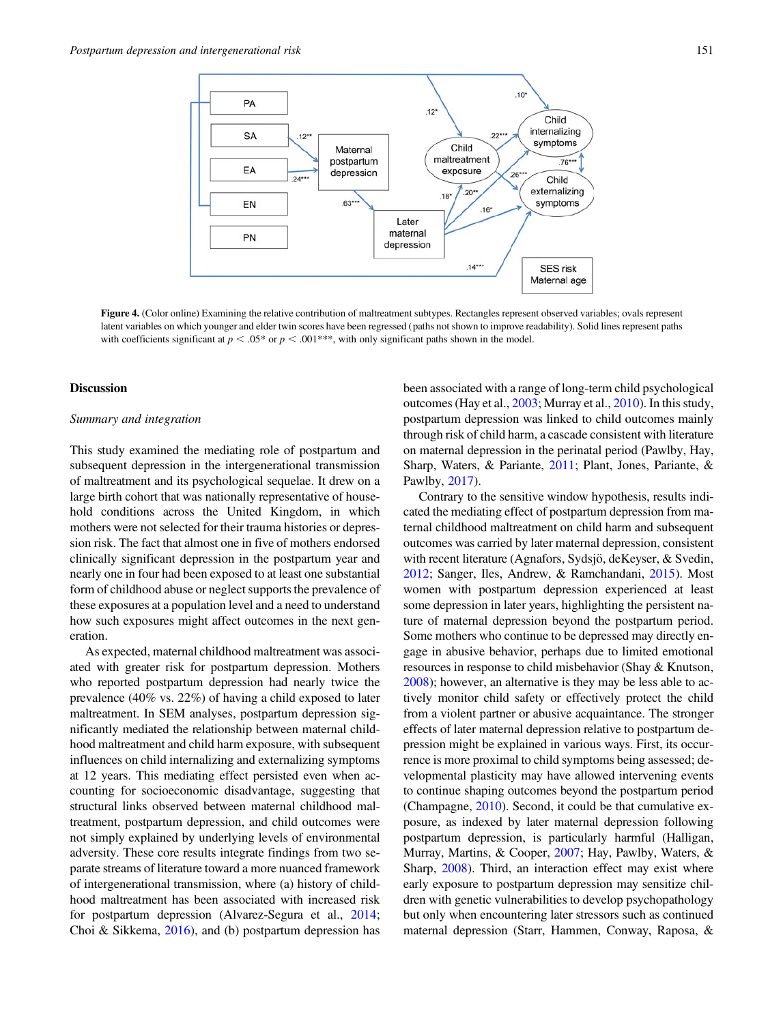<span id="page-8-0"></span>

Figure 4. (Color online) Examining the relative contribution of maltreatment subtypes. Rectangles represent observed variables; ovals represent latent variables on which younger and elder twin scores have been regressed (paths not shown to improve readability). Solid lines represent paths with coefficients significant at  $p < .05*$  or  $p < .001***$ , with only significant paths shown in the model.

## **Discussion**

#### Summary and integration

This study examined the mediating role of postpartum and subsequent depression in the intergenerational transmission of maltreatment and its psychological sequelae. It drew on a large birth cohort that was nationally representative of household conditions across the United Kingdom, in which mothers were not selected for their trauma histories or depression risk. The fact that almost one in five of mothers endorsed clinically significant depression in the postpartum year and nearly one in four had been exposed to at least one substantial form of childhood abuse or neglect supports the prevalence of these exposures at a population level and a need to understand how such exposures might affect outcomes in the next generation.

As expected, maternal childhood maltreatment was associated with greater risk for postpartum depression. Mothers who reported postpartum depression had nearly twice the prevalence (40% vs. 22%) of having a child exposed to later maltreatment. In SEM analyses, postpartum depression significantly mediated the relationship between maternal childhood maltreatment and child harm exposure, with subsequent influences on child internalizing and externalizing symptoms at 12 years. This mediating effect persisted even when accounting for socioeconomic disadvantage, suggesting that structural links observed between maternal childhood maltreatment, postpartum depression, and child outcomes were not simply explained by underlying levels of environmental adversity. These core results integrate findings from two separate streams of literature toward a more nuanced framework of intergenerational transmission, where (a) history of childhood maltreatment has been associated with increased risk for postpartum depression (Alvarez-Segura et al., [2014](#page-11-0); Choi & Sikkema, [2016](#page-11-0)), and (b) postpartum depression has

been associated with a range of long-term child psychological outcomes (Hay et al., [2003](#page-12-0); Murray et al., [2010\)](#page-12-0). In this study, postpartum depression was linked to child outcomes mainly through risk of child harm, a cascade consistent with literature on maternal depression in the perinatal period (Pawlby, Hay, Sharp, Waters, & Pariante, [2011;](#page-12-0) Plant, Jones, Pariante, & Pawlby, [2017\)](#page-13-0).

Contrary to the sensitive window hypothesis, results indicated the mediating effect of postpartum depression from maternal childhood maltreatment on child harm and subsequent outcomes was carried by later maternal depression, consistent with recent literature (Agnafors, Sydsjö, deKeyser, & Svedin, [2012;](#page-11-0) Sanger, Iles, Andrew, & Ramchandani, [2015](#page-13-0)). Most women with postpartum depression experienced at least some depression in later years, highlighting the persistent nature of maternal depression beyond the postpartum period. Some mothers who continue to be depressed may directly engage in abusive behavior, perhaps due to limited emotional resources in response to child misbehavior (Shay & Knutson, [2008\)](#page-13-0); however, an alternative is they may be less able to actively monitor child safety or effectively protect the child from a violent partner or abusive acquaintance. The stronger effects of later maternal depression relative to postpartum depression might be explained in various ways. First, its occurrence is more proximal to child symptoms being assessed; developmental plasticity may have allowed intervening events to continue shaping outcomes beyond the postpartum period (Champagne, [2010](#page-11-0)). Second, it could be that cumulative exposure, as indexed by later maternal depression following postpartum depression, is particularly harmful (Halligan, Murray, Martins, & Cooper, [2007;](#page-12-0) Hay, Pawlby, Waters, & Sharp, [2008\)](#page-12-0). Third, an interaction effect may exist where early exposure to postpartum depression may sensitize children with genetic vulnerabilities to develop psychopathology but only when encountering later stressors such as continued maternal depression (Starr, Hammen, Conway, Raposa, &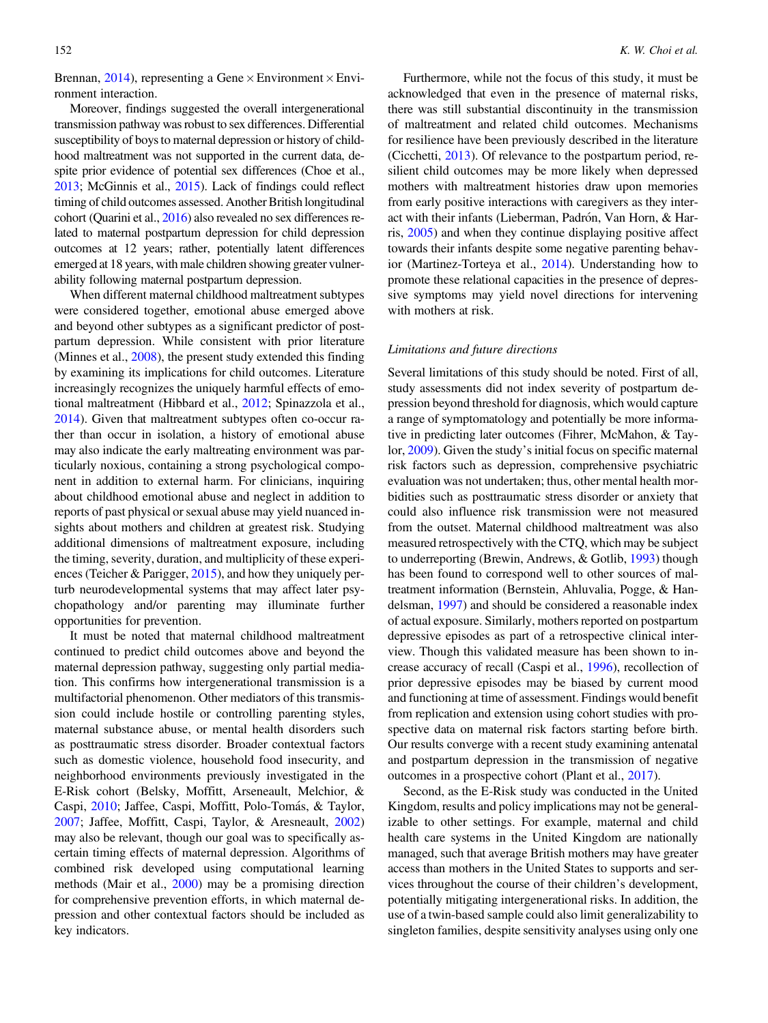Brennan, [2014\)](#page-13-0), representing a Gene  $\times$  Environment  $\times$  Environment interaction.

Moreover, findings suggested the overall intergenerational transmission pathway was robust to sex differences. Differential susceptibility of boys to maternal depression or history of childhood maltreatment was not supported in the current data, despite prior evidence of potential sex differences (Choe et al., [2013](#page-11-0); McGinnis et al., [2015\)](#page-12-0). Lack of findings could reflect timing of child outcomes assessed. Another British longitudinal cohort (Quarini et al., [2016\)](#page-13-0) also revealed no sex differences related to maternal postpartum depression for child depression outcomes at 12 years; rather, potentially latent differences emerged at 18 years, with male children showing greater vulnerability following maternal postpartum depression.

When different maternal childhood maltreatment subtypes were considered together, emotional abuse emerged above and beyond other subtypes as a significant predictor of postpartum depression. While consistent with prior literature (Minnes et al., [2008](#page-12-0)), the present study extended this finding by examining its implications for child outcomes. Literature increasingly recognizes the uniquely harmful effects of emotional maltreatment (Hibbard et al., [2012](#page-12-0); Spinazzola et al., [2014](#page-13-0)). Given that maltreatment subtypes often co-occur rather than occur in isolation, a history of emotional abuse may also indicate the early maltreating environment was particularly noxious, containing a strong psychological component in addition to external harm. For clinicians, inquiring about childhood emotional abuse and neglect in addition to reports of past physical or sexual abuse may yield nuanced insights about mothers and children at greatest risk. Studying additional dimensions of maltreatment exposure, including the timing, severity, duration, and multiplicity of these experiences (Teicher & Parigger, [2015\)](#page-13-0), and how they uniquely perturb neurodevelopmental systems that may affect later psychopathology and/or parenting may illuminate further opportunities for prevention.

It must be noted that maternal childhood maltreatment continued to predict child outcomes above and beyond the maternal depression pathway, suggesting only partial mediation. This confirms how intergenerational transmission is a multifactorial phenomenon. Other mediators of this transmission could include hostile or controlling parenting styles, maternal substance abuse, or mental health disorders such as posttraumatic stress disorder. Broader contextual factors such as domestic violence, household food insecurity, and neighborhood environments previously investigated in the E-Risk cohort (Belsky, Moffitt, Arseneault, Melchior, & Caspi, [2010;](#page-11-0) Jaffee, Caspi, Moffitt, Polo-Tomás, & Taylor, [2007](#page-12-0); Jaffee, Moffitt, Caspi, Taylor, & Aresneault, [2002\)](#page-12-0) may also be relevant, though our goal was to specifically ascertain timing effects of maternal depression. Algorithms of combined risk developed using computational learning methods (Mair et al., [2000](#page-12-0)) may be a promising direction for comprehensive prevention efforts, in which maternal depression and other contextual factors should be included as key indicators.

Furthermore, while not the focus of this study, it must be acknowledged that even in the presence of maternal risks, there was still substantial discontinuity in the transmission of maltreatment and related child outcomes. Mechanisms for resilience have been previously described in the literature (Cicchetti, [2013](#page-11-0)). Of relevance to the postpartum period, resilient child outcomes may be more likely when depressed mothers with maltreatment histories draw upon memories from early positive interactions with caregivers as they interact with their infants (Lieberman, Padrón, Van Horn, & Harris, [2005](#page-12-0)) and when they continue displaying positive affect towards their infants despite some negative parenting behavior (Martinez-Torteya et al., [2014\)](#page-12-0). Understanding how to promote these relational capacities in the presence of depressive symptoms may yield novel directions for intervening with mothers at risk.

# Limitations and future directions

Several limitations of this study should be noted. First of all, study assessments did not index severity of postpartum depression beyond threshold for diagnosis, which would capture a range of symptomatology and potentially be more informative in predicting later outcomes (Fihrer, McMahon, & Taylor, [2009](#page-12-0)). Given the study's initial focus on specific maternal risk factors such as depression, comprehensive psychiatric evaluation was not undertaken; thus, other mental health morbidities such as posttraumatic stress disorder or anxiety that could also influence risk transmission were not measured from the outset. Maternal childhood maltreatment was also measured retrospectively with the CTQ, which may be subject to underreporting (Brewin, Andrews, & Gotlib, [1993\)](#page-11-0) though has been found to correspond well to other sources of maltreatment information (Bernstein, Ahluvalia, Pogge, & Handelsman, [1997\)](#page-11-0) and should be considered a reasonable index of actual exposure. Similarly, mothers reported on postpartum depressive episodes as part of a retrospective clinical interview. Though this validated measure has been shown to increase accuracy of recall (Caspi et al., [1996\)](#page-11-0), recollection of prior depressive episodes may be biased by current mood and functioning at time of assessment. Findings would benefit from replication and extension using cohort studies with prospective data on maternal risk factors starting before birth. Our results converge with a recent study examining antenatal and postpartum depression in the transmission of negative outcomes in a prospective cohort (Plant et al., [2017](#page-13-0)).

Second, as the E-Risk study was conducted in the United Kingdom, results and policy implications may not be generalizable to other settings. For example, maternal and child health care systems in the United Kingdom are nationally managed, such that average British mothers may have greater access than mothers in the United States to supports and services throughout the course of their children's development, potentially mitigating intergenerational risks. In addition, the use of a twin-based sample could also limit generalizability to singleton families, despite sensitivity analyses using only one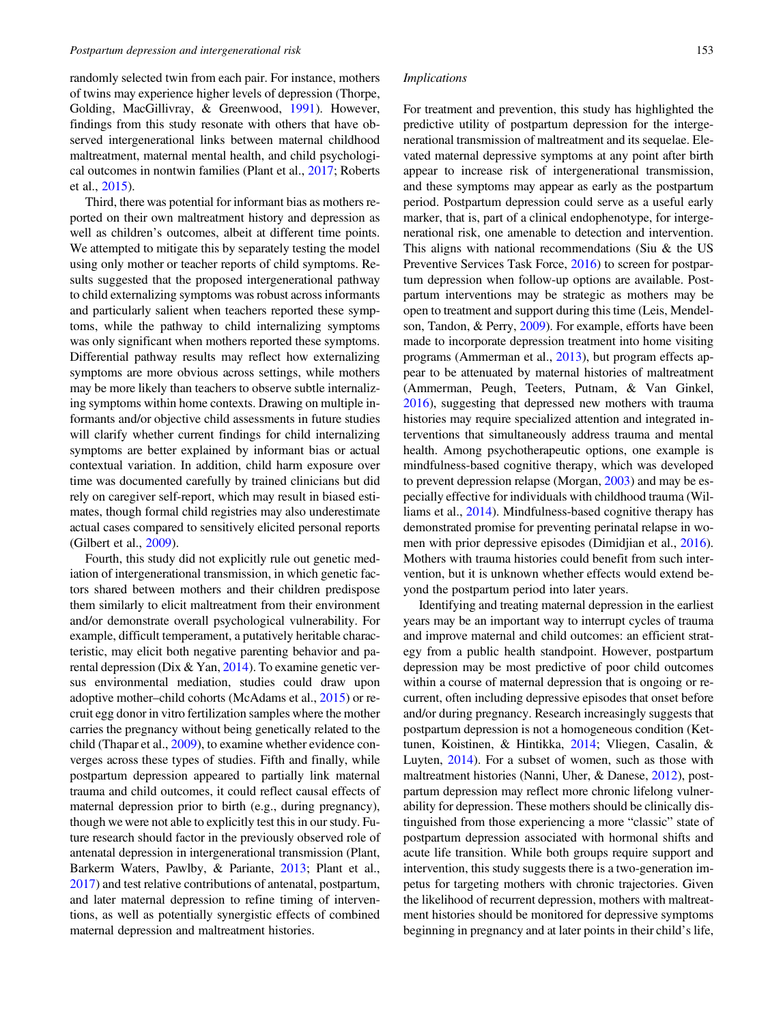randomly selected twin from each pair. For instance, mothers of twins may experience higher levels of depression (Thorpe, Golding, MacGillivray, & Greenwood, [1991](#page-13-0)). However, findings from this study resonate with others that have observed intergenerational links between maternal childhood maltreatment, maternal mental health, and child psychological outcomes in nontwin families (Plant et al., [2017](#page-13-0); Roberts et al., [2015\)](#page-13-0).

Third, there was potential for informant bias as mothers reported on their own maltreatment history and depression as well as children's outcomes, albeit at different time points. We attempted to mitigate this by separately testing the model using only mother or teacher reports of child symptoms. Results suggested that the proposed intergenerational pathway to child externalizing symptoms was robust across informants and particularly salient when teachers reported these symptoms, while the pathway to child internalizing symptoms was only significant when mothers reported these symptoms. Differential pathway results may reflect how externalizing symptoms are more obvious across settings, while mothers may be more likely than teachers to observe subtle internalizing symptoms within home contexts. Drawing on multiple informants and/or objective child assessments in future studies will clarify whether current findings for child internalizing symptoms are better explained by informant bias or actual contextual variation. In addition, child harm exposure over time was documented carefully by trained clinicians but did rely on caregiver self-report, which may result in biased estimates, though formal child registries may also underestimate actual cases compared to sensitively elicited personal reports (Gilbert et al., [2009\)](#page-12-0).

Fourth, this study did not explicitly rule out genetic mediation of intergenerational transmission, in which genetic factors shared between mothers and their children predispose them similarly to elicit maltreatment from their environment and/or demonstrate overall psychological vulnerability. For example, difficult temperament, a putatively heritable characteristic, may elicit both negative parenting behavior and parental depression (Dix & Yan, [2014](#page-12-0)). To examine genetic versus environmental mediation, studies could draw upon adoptive mother–child cohorts (McAdams et al., [2015](#page-12-0)) or recruit egg donor in vitro fertilization samples where the mother carries the pregnancy without being genetically related to the child (Thapar et al., [2009](#page-13-0)), to examine whether evidence converges across these types of studies. Fifth and finally, while postpartum depression appeared to partially link maternal trauma and child outcomes, it could reflect causal effects of maternal depression prior to birth (e.g., during pregnancy), though we were not able to explicitly test this in our study. Future research should factor in the previously observed role of antenatal depression in intergenerational transmission (Plant, Barkerm Waters, Pawlby, & Pariante, [2013;](#page-13-0) Plant et al., [2017](#page-13-0)) and test relative contributions of antenatal, postpartum, and later maternal depression to refine timing of interventions, as well as potentially synergistic effects of combined maternal depression and maltreatment histories.

## Implications

For treatment and prevention, this study has highlighted the predictive utility of postpartum depression for the intergenerational transmission of maltreatment and its sequelae. Elevated maternal depressive symptoms at any point after birth appear to increase risk of intergenerational transmission, and these symptoms may appear as early as the postpartum period. Postpartum depression could serve as a useful early marker, that is, part of a clinical endophenotype, for intergenerational risk, one amenable to detection and intervention. This aligns with national recommendations (Siu  $\&$  the US Preventive Services Task Force, [2016\)](#page-13-0) to screen for postpartum depression when follow-up options are available. Postpartum interventions may be strategic as mothers may be open to treatment and support during this time (Leis, Mendelson, Tandon, & Perry, [2009](#page-12-0)). For example, efforts have been made to incorporate depression treatment into home visiting programs (Ammerman et al., [2013](#page-11-0)), but program effects appear to be attenuated by maternal histories of maltreatment (Ammerman, Peugh, Teeters, Putnam, & Van Ginkel, [2016\)](#page-11-0), suggesting that depressed new mothers with trauma histories may require specialized attention and integrated interventions that simultaneously address trauma and mental health. Among psychotherapeutic options, one example is mindfulness-based cognitive therapy, which was developed to prevent depression relapse (Morgan, [2003\)](#page-12-0) and may be especially effective for individuals with childhood trauma (Williams et al., [2014\)](#page-13-0). Mindfulness-based cognitive therapy has demonstrated promise for preventing perinatal relapse in women with prior depressive episodes (Dimidjian et al., [2016](#page-12-0)). Mothers with trauma histories could benefit from such intervention, but it is unknown whether effects would extend beyond the postpartum period into later years.

Identifying and treating maternal depression in the earliest years may be an important way to interrupt cycles of trauma and improve maternal and child outcomes: an efficient strategy from a public health standpoint. However, postpartum depression may be most predictive of poor child outcomes within a course of maternal depression that is ongoing or recurrent, often including depressive episodes that onset before and/or during pregnancy. Research increasingly suggests that postpartum depression is not a homogeneous condition (Kettunen, Koistinen, & Hintikka, [2014](#page-12-0); Vliegen, Casalin, & Luyten, [2014](#page-13-0)). For a subset of women, such as those with maltreatment histories (Nanni, Uher, & Danese, [2012](#page-12-0)), postpartum depression may reflect more chronic lifelong vulnerability for depression. These mothers should be clinically distinguished from those experiencing a more "classic" state of postpartum depression associated with hormonal shifts and acute life transition. While both groups require support and intervention, this study suggests there is a two-generation impetus for targeting mothers with chronic trajectories. Given the likelihood of recurrent depression, mothers with maltreatment histories should be monitored for depressive symptoms beginning in pregnancy and at later points in their child's life,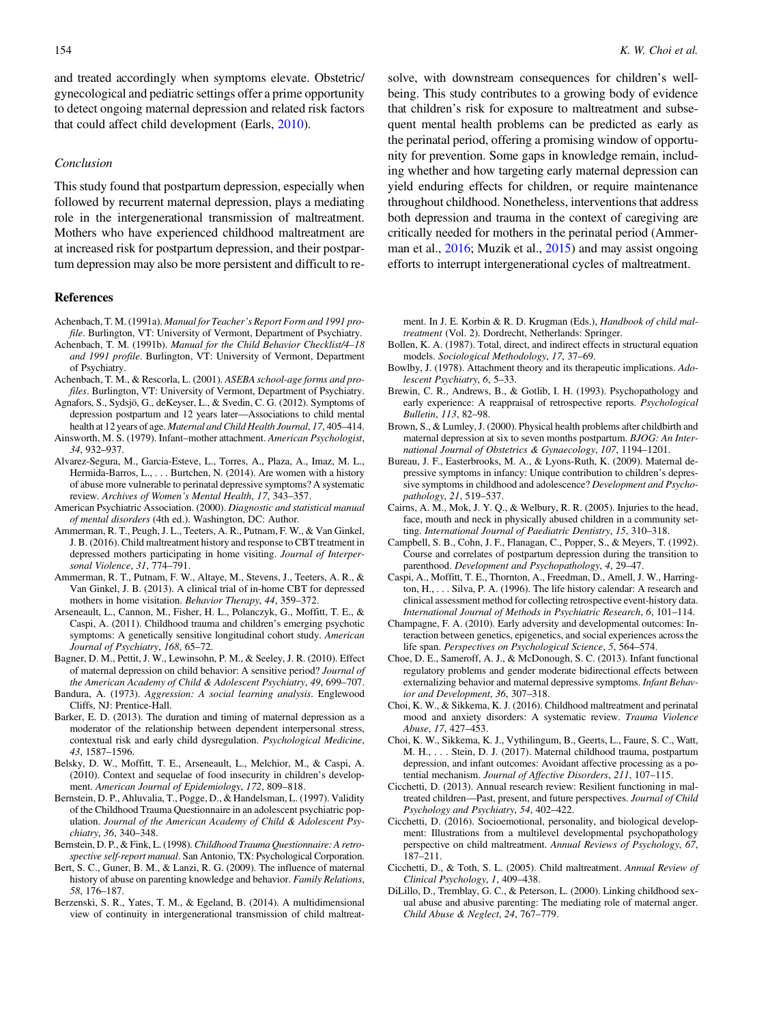<span id="page-11-0"></span>and treated accordingly when symptoms elevate. Obstetric/ gynecological and pediatric settings offer a prime opportunity to detect ongoing maternal depression and related risk factors that could affect child development (Earls, [2010\)](#page-12-0).

# Conclusion

This study found that postpartum depression, especially when followed by recurrent maternal depression, plays a mediating role in the intergenerational transmission of maltreatment. Mothers who have experienced childhood maltreatment are at increased risk for postpartum depression, and their postpartum depression may also be more persistent and difficult to re-

#### References

- Achenbach, T. M. (1991a). Manual for Teacher's Report Form and 1991 profile. Burlington, VT: University of Vermont, Department of Psychiatry.
- Achenbach, T. M. (1991b). Manual for the Child Behavior Checklist/4–18 and 1991 profile. Burlington, VT: University of Vermont, Department of Psychiatry.
- Achenbach, T. M., & Rescorla, L. (2001). ASEBA school-age forms and profiles. Burlington, VT: University of Vermont, Department of Psychiatry.
- Agnafors, S., Sydsjö, G., deKeyser, L., & Svedin, C. G. (2012). Symptoms of depression postpartum and 12 years later—Associations to child mental health at 12 years of age. Maternal and Child Health Journal, 17, 405–414.
- Ainsworth, M. S. (1979). Infant–mother attachment. American Psychologist, 34, 932–937.
- Alvarez-Segura, M., Garcia-Esteve, L., Torres, A., Plaza, A., Imaz, M. L., Hermida-Barros, L., . . . Burtchen, N. (2014). Are women with a history of abuse more vulnerable to perinatal depressive symptoms? A systematic review. Archives of Women's Mental Health, 17, 343–357.
- American Psychiatric Association. (2000). Diagnostic and statistical manual of mental disorders (4th ed.). Washington, DC: Author.
- Ammerman, R. T., Peugh, J. L., Teeters, A. R., Putnam, F. W., & Van Ginkel, J. B. (2016). Child maltreatment history and response to CBT treatment in depressed mothers participating in home visiting. Journal of Interpersonal Violence, 31, 774–791.
- Ammerman, R. T., Putnam, F. W., Altaye, M., Stevens, J., Teeters, A. R., & Van Ginkel, J. B. (2013). A clinical trial of in-home CBT for depressed mothers in home visitation. Behavior Therapy, 44, 359–372.
- Arseneault, L., Cannon, M., Fisher, H. L., Polanczyk, G., Moffitt, T. E., & Caspi, A. (2011). Childhood trauma and children's emerging psychotic symptoms: A genetically sensitive longitudinal cohort study. American Journal of Psychiatry, 168, 65–72.
- Bagner, D. M., Pettit, J. W., Lewinsohn, P. M., & Seeley, J. R. (2010). Effect of maternal depression on child behavior: A sensitive period? Journal of the American Academy of Child & Adolescent Psychiatry, 49, 699–707.
- Bandura, A. (1973). Aggression: A social learning analysis. Englewood Cliffs, NJ: Prentice-Hall.
- Barker, E. D. (2013). The duration and timing of maternal depression as a moderator of the relationship between dependent interpersonal stress, contextual risk and early child dysregulation. Psychological Medicine, 43, 1587–1596.
- Belsky, D. W., Moffitt, T. E., Arseneault, L., Melchior, M., & Caspi, A. (2010). Context and sequelae of food insecurity in children's development. American Journal of Epidemiology, 172, 809–818.
- Bernstein, D. P., Ahluvalia, T., Pogge, D., & Handelsman, L. (1997). Validity of the Childhood Trauma Questionnaire in an adolescent psychiatric population. Journal of the American Academy of Child & Adolescent Psychiatry, 36, 340–348.
- Bernstein, D. P., & Fink, L. (1998). Childhood Trauma Questionnaire: A retrospective self-report manual. San Antonio, TX: Psychological Corporation.
- Bert, S. C., Guner, B. M., & Lanzi, R. G. (2009). The influence of maternal history of abuse on parenting knowledge and behavior. Family Relations, 58, 176–187.
- Berzenski, S. R., Yates, T. M., & Egeland, B. (2014). A multidimensional view of continuity in intergenerational transmission of child maltreat-

solve, with downstream consequences for children's wellbeing. This study contributes to a growing body of evidence that children's risk for exposure to maltreatment and subsequent mental health problems can be predicted as early as the perinatal period, offering a promising window of opportunity for prevention. Some gaps in knowledge remain, including whether and how targeting early maternal depression can yield enduring effects for children, or require maintenance throughout childhood. Nonetheless, interventions that address both depression and trauma in the context of caregiving are critically needed for mothers in the perinatal period (Ammer-man et al., 2016; Muzik et al., [2015\)](#page-12-0) and may assist ongoing efforts to interrupt intergenerational cycles of maltreatment.

ment. In J. E. Korbin & R. D. Krugman (Eds.), Handbook of child maltreatment (Vol. 2). Dordrecht, Netherlands: Springer.

- Bollen, K. A. (1987). Total, direct, and indirect effects in structural equation models. Sociological Methodology, 17, 37–69.
- Bowlby, J. (1978). Attachment theory and its therapeutic implications. Adolescent Psychiatry, 6, 5–33.
- Brewin, C. R., Andrews, B., & Gotlib, I. H. (1993). Psychopathology and early experience: A reappraisal of retrospective reports. Psychological Bulletin, 113, 82–98.
- Brown, S., & Lumley, J. (2000). Physical health problems after childbirth and maternal depression at six to seven months postpartum. BJOG: An International Journal of Obstetrics & Gynaecology, 107, 1194–1201.
- Bureau, J. F., Easterbrooks, M. A., & Lyons-Ruth, K. (2009). Maternal depressive symptoms in infancy: Unique contribution to children's depressive symptoms in childhood and adolescence? Development and Psychopathology, 21, 519–537.
- Cairns, A. M., Mok, J. Y. Q., & Welbury, R. R. (2005). Injuries to the head, face, mouth and neck in physically abused children in a community setting. International Journal of Paediatric Dentistry, 15, 310–318.
- Campbell, S. B., Cohn, J. F., Flanagan, C., Popper, S., & Meyers, T. (1992). Course and correlates of postpartum depression during the transition to parenthood. Development and Psychopathology, 4, 29–47.
- Caspi, A., Moffitt, T. E., Thornton, A., Freedman, D., Amell, J. W., Harrington, H., . . . Silva, P. A. (1996). The life history calendar: A research and clinical assessment method for collecting retrospective event-history data. International Journal of Methods in Psychiatric Research, 6, 101–114.
- Champagne, F. A. (2010). Early adversity and developmental outcomes: Interaction between genetics, epigenetics, and social experiences across the life span. Perspectives on Psychological Science, 5, 564–574.
- Choe, D. E., Sameroff, A. J., & McDonough, S. C. (2013). Infant functional regulatory problems and gender moderate bidirectional effects between externalizing behavior and maternal depressive symptoms. Infant Behavior and Development, 36, 307–318.
- Choi, K. W., & Sikkema, K. J. (2016). Childhood maltreatment and perinatal mood and anxiety disorders: A systematic review. Trauma Violence Abuse, 17, 427–453.
- Choi, K. W., Sikkema, K. J., Vythilingum, B., Geerts, L., Faure, S. C., Watt, M. H., . . . Stein, D. J. (2017). Maternal childhood trauma, postpartum depression, and infant outcomes: Avoidant affective processing as a potential mechanism. Journal of Affective Disorders, 211, 107–115.
- Cicchetti, D. (2013). Annual research review: Resilient functioning in maltreated children—Past, present, and future perspectives. Journal of Child Psychology and Psychiatry, 54, 402–422.
- Cicchetti, D. (2016). Socioemotional, personality, and biological development: Illustrations from a multilevel developmental psychopathology perspective on child maltreatment. Annual Reviews of Psychology, 67, 187–211.
- Cicchetti, D., & Toth, S. L. (2005). Child maltreatment. Annual Review of Clinical Psychology, 1, 409–438.
- DiLillo, D., Tremblay, G. C., & Peterson, L. (2000). Linking childhood sexual abuse and abusive parenting: The mediating role of maternal anger. Child Abuse & Neglect, 24, 767–779.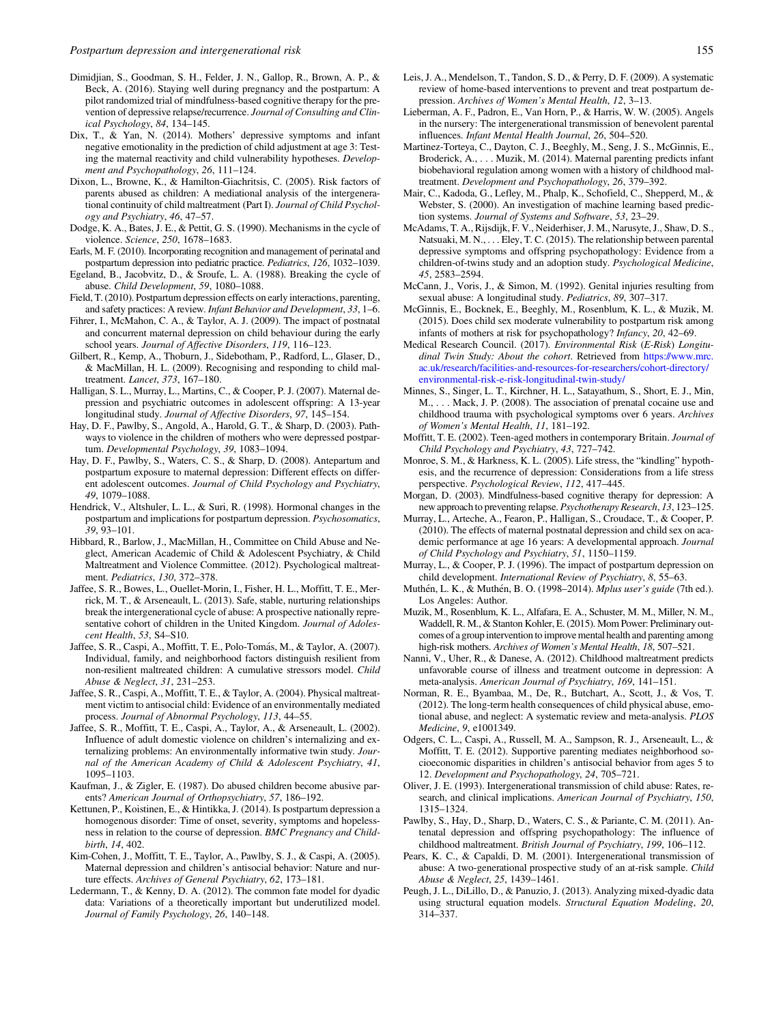- <span id="page-12-0"></span>Dimidjian, S., Goodman, S. H., Felder, J. N., Gallop, R., Brown, A. P., & Beck, A. (2016). Staying well during pregnancy and the postpartum: A pilot randomized trial of mindfulness-based cognitive therapy for the prevention of depressive relapse/recurrence. Journal of Consulting and Clinical Psychology, 84, 134–145.
- Dix, T., & Yan, N. (2014). Mothers' depressive symptoms and infant negative emotionality in the prediction of child adjustment at age 3: Testing the maternal reactivity and child vulnerability hypotheses. Development and Psychopathology, 26, 111–124.
- Dixon, L., Browne, K., & Hamilton-Giachritsis, C. (2005). Risk factors of parents abused as children: A mediational analysis of the intergenerational continuity of child maltreatment (Part I). Journal of Child Psychology and Psychiatry, 46, 47–57.
- Dodge, K. A., Bates, J. E., & Pettit, G. S. (1990). Mechanisms in the cycle of violence. Science, 250, 1678–1683.
- Earls, M. F. (2010). Incorporating recognition and management of perinatal and postpartum depression into pediatric practice. Pediatrics, 126, 1032-1039.
- Egeland, B., Jacobvitz, D., & Sroufe, L. A. (1988). Breaking the cycle of abuse. Child Development, 59, 1080–1088.
- Field, T. (2010). Postpartum depression effects on early interactions, parenting, and safety practices: A review. Infant Behavior and Development, 33, 1–6.
- Fihrer, I., McMahon, C. A., & Taylor, A. J. (2009). The impact of postnatal and concurrent maternal depression on child behaviour during the early school years. Journal of Affective Disorders, 119, 116–123.
- Gilbert, R., Kemp, A., Thoburn, J., Sidebotham, P., Radford, L., Glaser, D., & MacMillan, H. L. (2009). Recognising and responding to child maltreatment. Lancet, 373, 167–180.
- Halligan, S. L., Murray, L., Martins, C., & Cooper, P. J. (2007). Maternal depression and psychiatric outcomes in adolescent offspring: A 13-year longitudinal study. Journal of Affective Disorders, 97, 145–154.
- Hay, D. F., Pawlby, S., Angold, A., Harold, G. T., & Sharp, D. (2003). Pathways to violence in the children of mothers who were depressed postpartum. Developmental Psychology, 39, 1083–1094.
- Hay, D. F., Pawlby, S., Waters, C. S., & Sharp, D. (2008). Antepartum and postpartum exposure to maternal depression: Different effects on different adolescent outcomes. Journal of Child Psychology and Psychiatry, 49, 1079–1088.
- Hendrick, V., Altshuler, L. L., & Suri, R. (1998). Hormonal changes in the postpartum and implications for postpartum depression. Psychosomatics, 39, 93–101.
- Hibbard, R., Barlow, J., MacMillan, H., Committee on Child Abuse and Neglect, American Academic of Child & Adolescent Psychiatry, & Child Maltreatment and Violence Committee. (2012). Psychological maltreatment. Pediatrics, 130, 372–378.
- Jaffee, S. R., Bowes, L., Ouellet-Morin, I., Fisher, H. L., Moffitt, T. E., Merrick, M. T., & Arseneault, L. (2013). Safe, stable, nurturing relationships break the intergenerational cycle of abuse: A prospective nationally representative cohort of children in the United Kingdom. Journal of Adolescent Health, 53, S4–S10.
- Jaffee, S. R., Caspi, A., Moffitt, T. E., Polo-Toma´s, M., & Taylor, A. (2007). Individual, family, and neighborhood factors distinguish resilient from non-resilient maltreated children: A cumulative stressors model. Child Abuse & Neglect, 31, 231–253.
- Jaffee, S. R., Caspi, A., Moffitt, T. E., & Taylor, A. (2004). Physical maltreatment victim to antisocial child: Evidence of an environmentally mediated process. Journal of Abnormal Psychology, 113, 44–55.
- Jaffee, S. R., Moffitt, T. E., Caspi, A., Taylor, A., & Arseneault, L. (2002). Influence of adult domestic violence on children's internalizing and externalizing problems: An environmentally informative twin study. Journal of the American Academy of Child & Adolescent Psychiatry, 41, 1095–1103.
- Kaufman, J., & Zigler, E. (1987). Do abused children become abusive parents? American Journal of Orthopsychiatry, 57, 186–192.
- Kettunen, P., Koistinen, E., & Hintikka, J. (2014). Is postpartum depression a homogenous disorder: Time of onset, severity, symptoms and hopelessness in relation to the course of depression. BMC Pregnancy and Childbirth, 14, 402.
- Kim-Cohen, J., Moffitt, T. E., Taylor, A., Pawlby, S. J., & Caspi, A. (2005). Maternal depression and children's antisocial behavior: Nature and nurture effects. Archives of General Psychiatry, 62, 173–181.
- Ledermann, T., & Kenny, D. A. (2012). The common fate model for dyadic data: Variations of a theoretically important but underutilized model. Journal of Family Psychology, 26, 140–148.
- Leis, J. A., Mendelson, T., Tandon, S. D., & Perry, D. F. (2009). A systematic review of home-based interventions to prevent and treat postpartum depression. Archives of Women's Mental Health, 12, 3–13.
- Lieberman, A. F., Padron, E., Van Horn, P., & Harris, W. W. (2005). Angels in the nursery: The intergenerational transmission of benevolent parental influences. Infant Mental Health Journal, 26, 504–520.
- Martinez-Torteya, C., Dayton, C. J., Beeghly, M., Seng, J. S., McGinnis, E., Broderick, A., . . . Muzik, M. (2014). Maternal parenting predicts infant biobehavioral regulation among women with a history of childhood maltreatment. Development and Psychopathology, 26, 379–392.
- Mair, C., Kadoda, G., Lefley, M., Phalp, K., Schofield, C., Shepperd, M., & Webster, S. (2000). An investigation of machine learning based prediction systems. Journal of Systems and Software, 53, 23–29.
- McAdams, T. A., Rijsdijk, F. V., Neiderhiser, J. M., Narusyte, J., Shaw, D. S., Natsuaki, M. N., . . . Eley, T. C. (2015). The relationship between parental depressive symptoms and offspring psychopathology: Evidence from a children-of-twins study and an adoption study. Psychological Medicine, 45, 2583–2594.
- McCann, J., Voris, J., & Simon, M. (1992). Genital injuries resulting from sexual abuse: A longitudinal study. Pediatrics, 89, 307–317.
- McGinnis, E., Bocknek, E., Beeghly, M., Rosenblum, K. L., & Muzik, M. (2015). Does child sex moderate vulnerability to postpartum risk among infants of mothers at risk for psychopathology? Infancy, 20, 42–69.
- Medical Research Council. (2017). Environmental Risk (E-Risk) Longitudinal Twin Study: About the cohort. Retrieved from [https://www.mrc.](https://www.mrc.ac.uk/research/facilities-and-resources-for-researchers/cohort-directory/environmental-risk-e-risk-longitudinal-twin-study/) [ac.uk/research/facilities-and-resources-for-researchers/cohort-directory/](https://www.mrc.ac.uk/research/facilities-and-resources-for-researchers/cohort-directory/environmental-risk-e-risk-longitudinal-twin-study/) [environmental-risk-e-risk-longitudinal-twin-study/](https://www.mrc.ac.uk/research/facilities-and-resources-for-researchers/cohort-directory/environmental-risk-e-risk-longitudinal-twin-study/)
- Minnes, S., Singer, L. T., Kirchner, H. L., Satayathum, S., Short, E. J., Min, M., . . . Mack, J. P. (2008). The association of prenatal cocaine use and childhood trauma with psychological symptoms over 6 years. Archives of Women's Mental Health, 11, 181–192.
- Moffitt, T. E. (2002). Teen-aged mothers in contemporary Britain. Journal of Child Psychology and Psychiatry, 43, 727–742.
- Monroe, S. M., & Harkness, K. L. (2005). Life stress, the "kindling" hypothesis, and the recurrence of depression: Considerations from a life stress perspective. Psychological Review, 112, 417–445.
- Morgan, D. (2003). Mindfulness-based cognitive therapy for depression: A new approach to preventing relapse. Psychotherapy Research, 13, 123–125.
- Murray, L., Arteche, A., Fearon, P., Halligan, S., Croudace, T., & Cooper, P. (2010). The effects of maternal postnatal depression and child sex on academic performance at age 16 years: A developmental approach. Journal of Child Psychology and Psychiatry, 51, 1150–1159.
- Murray, L., & Cooper, P. J. (1996). The impact of postpartum depression on child development. International Review of Psychiatry, 8, 55–63.
- Muthén, L. K., & Muthén, B. O. (1998–2014). Mplus user's guide (7th ed.). Los Angeles: Author.
- Muzik, M., Rosenblum, K. L., Alfafara, E. A., Schuster, M. M., Miller, N. M., Waddell, R. M., & Stanton Kohler, E. (2015). Mom Power: Preliminary outcomes of a group intervention to improve mental health and parenting among high-risk mothers. Archives of Women's Mental Health, 18, 507–521.
- Nanni, V., Uher, R., & Danese, A. (2012). Childhood maltreatment predicts unfavorable course of illness and treatment outcome in depression: A meta-analysis. American Journal of Psychiatry, 169, 141–151.
- Norman, R. E., Byambaa, M., De, R., Butchart, A., Scott, J., & Vos, T. (2012). The long-term health consequences of child physical abuse, emotional abuse, and neglect: A systematic review and meta-analysis. PLOS Medicine, 9, e1001349.
- Odgers, C. L., Caspi, A., Russell, M. A., Sampson, R. J., Arseneault, L., & Moffitt, T. E. (2012). Supportive parenting mediates neighborhood socioeconomic disparities in children's antisocial behavior from ages 5 to 12. Development and Psychopathology, 24, 705–721.
- Oliver, J. E. (1993). Intergenerational transmission of child abuse: Rates, research, and clinical implications. American Journal of Psychiatry, 150, 1315–1324.
- Pawlby, S., Hay, D., Sharp, D., Waters, C. S., & Pariante, C. M. (2011). Antenatal depression and offspring psychopathology: The influence of childhood maltreatment. British Journal of Psychiatry, 199, 106–112.
- Pears, K. C., & Capaldi, D. M. (2001). Intergenerational transmission of abuse: A two-generational prospective study of an at-risk sample. Child Abuse & Neglect, 25, 1439–1461.
- Peugh, J. L., DiLillo, D., & Panuzio, J. (2013). Analyzing mixed-dyadic data using structural equation models. Structural Equation Modeling, 20, 314–337.